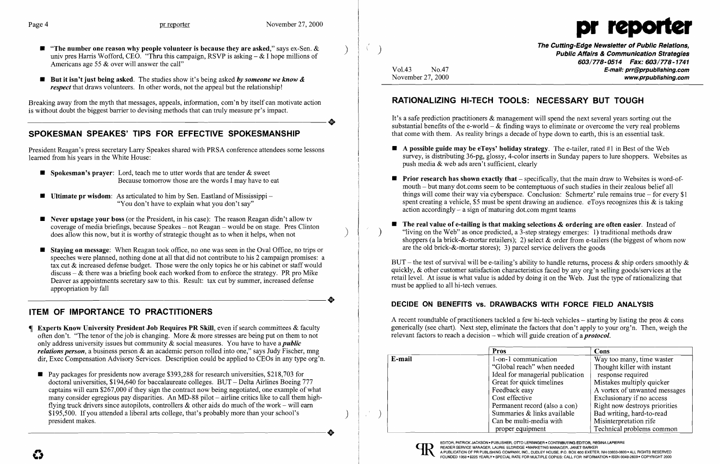- **The number one reason why people volunteer is because they are asked,"** says ex-Sen.  $\&$  univ pres Harris Wofford, CEO. "Thru this campaign, RSVP is asking  $-\&$  I hope millions of Americans age 55 & over will answer the call"
- But it isn't just being asked. The studies show it's being asked *by someone we know & respect* that draws volunteers. In other words, not the appeal but the relationship!

Breaking away from the myth that messages, appeals, information, com'n by itself can motivate action is without doubt the biggest barrier to devising methods that can truly measure pr's impact. is without doubt the biggest barrier to devising methods that can truly measure pr's impact.

### SPOKESMAN SPEAKES' TIPS FOR EFFECTIVE SPOKESMANSHIP

President Reagan's press secretary Larry Speakes shared with PRSA conference attendees some lessons learned from his years in the White House:

- **Spokesman's prayer:** Lord, teach me to utter words that are tender  $\&$  sweet Because tomorrow those are the words I may have to eat
- **Ultimate pr wisdom**: As articulated to him by Sen. Eastland of Mississippi -"You don't have to explain what you don't say"
- **Never upstage your boss** (or the President, in his case): The reason Reagan didn't allow tv coverage of media briefings, because Speakes – not Reagan – would be on stage. Pres Clinton does allow this now, but it is worthy of strategic thought as to when it helps, when not
- **Staying on message:** When Reagan took office, no one was seen in the Oval Office, no trips or speeches were planned, nothing done at all that did not contribute to his 2 campaign promises: a tax cut & increased defense budget. Those were the only topics he or his cabinet or staff would discuss  $-\&$  there was a briefing book each worked from to enforce the strategy. PR pro Mike Deaver as appointments secretary saw to this. Result: tax cut by summer, increased defense -----------------------+ appropriation by fall

The Cutting-Edge Newsletter of Public Relations, ) Public Affairs & Communication Strategies 603/778-0514 Fax: 603/778-1741 Vol.43 No.47 **No.47** No.47 No.47 No.47 No.47 No.47 No.47 No.47 No.47 No.47 No.47 No.47 No.47 No.47 No.47 No.47 No.47 No.47 No.47 No.47 No.47 No.47 No.47 No.47 No.47 No.47 No.47 No.47 No.47 No.47 No.47 No.47 No.47 No.47 No. November 27, 2000

# ITEM OF IMPORTANCE TO PRACTITIONERS

- **F** Experts Know University President Job Requires PR Skill, even if search committees  $\&$  faculty often don't. "The tenor of the job is changing. More & more stresses are being put on them to not only address university issues but community & social measures. You have to have a *public relations person,* a business person & an academic person rolled into one," says Judy Fischer, mng dir, Exec Compensation Advisory Services. Description could be applied to CEOs in any type org'n.
- $\blacksquare$  Pay packages for presidents now average \$393,288 for research universities, \$218,703 for doctoral universities, \$194,640 for baccalaureate colleges. BUT - Delta Airlines Boeing 777 captains will earn \$267,000 if they sign the contract now being negotiated, one example of what many consider egregious pay disparities. An MD-88 pilot  $-$  airline critics like to call them highflying truck drivers since autopilots, controllers  $\&$  other aids do much of the work – will earn \$195,500. If you attended a liberal arts college, that's probably more than your school's ) president makes.

The real value of e-tailing is that making selections  $\&$  ordering are often easier. Instead of "living on the Web" as once predicted, a 3-step strategy emerges:  $\overline{1}$ ) traditional methods draw shoppers (a la brick-&-mortar retailers); 2) select & order from e-tailers (the biggest of whom now

EDITOR, PATRICK JACKSON . PUBLISHER, OTTO LERBINGER . CONTRIBUTING EDITOR, REGINA LAPIERRE

A PUBLICATION OF PR PUBLISHING COMPANY, INC., DUDLEY HOUSE, P.O. BOX 600 EXETER, NH 03833-0600 . ALL RIGHTS RESERVED FOUNDED 1958 . \$225 YEARLY . SPECIAL RATE FOR MULTIPLE COPIES: CALL FOR INFORMATION . ISSN 0048-2609 . CO

- $\blacksquare$  A possible guide may be eToys' holiday strategy. The e-tailer, rated #1 in Best of the Web push media & web ads aren't sufficient, clearly
- action accordingly  $-$  a sign of maturing dot.com mgmt teams
- are the old brick-&-mortar stores); 3) parcel service delivers the goods

BUT – the test of survival will be e-tailing's ability to handle returns, process & ship orders smoothly & quickly, & other customer satisfaction characteristics faced by any org'n selling goods/services at the retail level. At issue is what value is added by doing it on the Web. Just the type of rationalizing that must be applied to all hi-tech venues.

#### DECIDE ON BENEFITS vs. DRAWBACKS WITH FORCE FIELD ANALYSIS

A recent roundtable of practitioners tackled a few hi-tech vehicles – starting by listing the pros  $\&$  cons generically (see chart). Next step, eliminate the factors that don't apply to your org'n. Then, weigh the relevant factors to reach a decision - which will guide creation of a *protocol.* 



# RATIONALIZING HI-TECH TOOLS: NECESSARY BUT TOUGH

It's a safe prediction practitioners & management will spend the next several years sorting out the substantial benefits of the e-world  $-\&$  finding ways to eliminate or overcome the very real problems that come with them. As reality brings a decade of hype down to earth, this is an essential task.

survey, is distributing 36-pg, glossy, 4-color inserts in Sunday papers to lure shoppers. Websites as

 $\blacksquare$  Prior research has shown exactly that  $\blacksquare$  specifically, that the main draw to Websites is word-ofmouth - but many dot.coms seem to be contemptuous of such studies in their zealous belief all things will come their way via cyberspace. Conclusion: Schmertz' rule remains true  $-$  for every \$1 spent creating a vehicle, \$5 must be spent drawing an audience. eToys recognizes this  $\&$  is taking

|        | <b>Pros</b>                      | Cons                          |
|--------|----------------------------------|-------------------------------|
| E-mail | 1-on-1 communication             | Way too many, time waster     |
|        | "Global reach" when needed       | Thought killer with instant   |
|        | Ideal for managerial publication | response required             |
|        | Great for quick timelines        | Mistakes multiply quicker     |
|        | Feedback easy                    | A vortex of unwanted messages |
|        | Cost effective                   | Exclusionary if no access     |
|        | Permanent record (also a con)    | Right now destroys priorities |
|        | Summaries & links available      | Bad writing, hard-to-read     |
|        | Can be multi-media with          | Misinterpretation rife        |
|        | proper equipment                 | Technical problems common     |